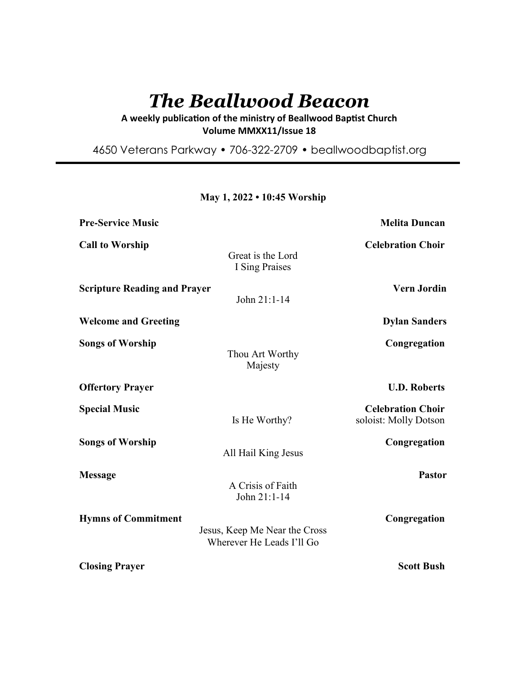# *The Beallwood Beacon*

A weekly publication of the ministry of Beallwood Baptist Church **Volume MMXX11/Issue 18** 

4650 Veterans Parkway • 706-322-2709 • beallwoodbaptist.org

| <b>Pre-Service Music</b>            |                                                            | <b>Melita Duncan</b>                              |
|-------------------------------------|------------------------------------------------------------|---------------------------------------------------|
| <b>Call to Worship</b>              | Great is the Lord<br>I Sing Praises                        | <b>Celebration Choir</b>                          |
| <b>Scripture Reading and Prayer</b> | John 21:1-14                                               | <b>Vern Jordin</b>                                |
| <b>Welcome and Greeting</b>         |                                                            | <b>Dylan Sanders</b>                              |
| <b>Songs of Worship</b>             | Thou Art Worthy<br>Majesty                                 | Congregation                                      |
| <b>Offertory Prayer</b>             |                                                            | <b>U.D. Roberts</b>                               |
| <b>Special Music</b>                | Is He Worthy?                                              | <b>Celebration Choir</b><br>soloist: Molly Dotson |
| <b>Songs of Worship</b>             | All Hail King Jesus                                        | Congregation                                      |
| <b>Message</b>                      | A Crisis of Faith<br>John 21:1-14                          | <b>Pastor</b>                                     |
| <b>Hymns of Commitment</b>          | Jesus, Keep Me Near the Cross<br>Wherever He Leads I'll Go | Congregation                                      |
| <b>Closing Prayer</b>               |                                                            | <b>Scott Bush</b>                                 |

# **May 1, 2022 • 10:45 Worship**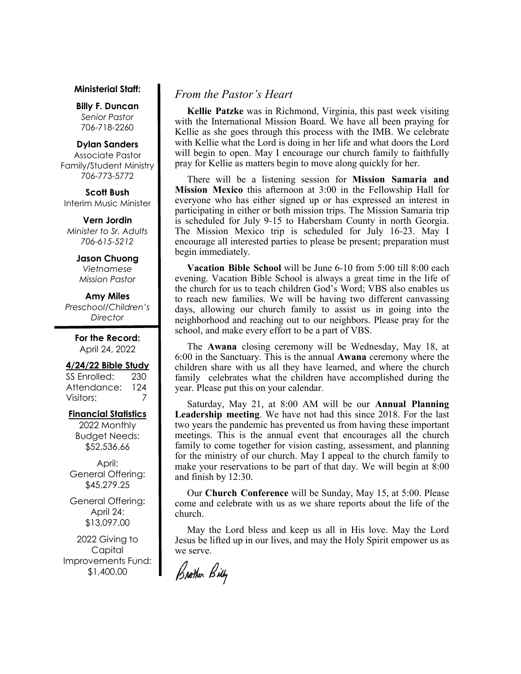#### **Ministerial Staff:**

**Billy F. Duncan** *Senior Pastor*  706-718-2260

#### **Dylan Sanders**

Associate Pastor Family/Student Ministry 706-773-5772

**Scott Bush**  Interim Music Minister

**Vern Jordin** *Minister to Sr. Adults 706-615-5212* 

# **Jason Chuong**

*Vietnamese Mission Pastor* 

# **Amy Miles**

*Preschool/Children's Director* 

> **For the Record:**  April 24, 2022

#### **4/24/22 Bible Study**

SS Enrolled: 230 Attendance: 124 Visitors: 7

# **Financial Statistics**

2022 Monthly Budget Needs: \$52,536.66

April: General Offering: \$45,279.25

General Offering: April 24: \$13,097.00

2022 Giving to Capital Improvements Fund: \$1,400.00

# *From the Pastor's Heart*

 **Kellie Patzke** was in Richmond, Virginia, this past week visiting with the International Mission Board. We have all been praying for Kellie as she goes through this process with the IMB. We celebrate with Kellie what the Lord is doing in her life and what doors the Lord will begin to open. May I encourage our church family to faithfully pray for Kellie as matters begin to move along quickly for her.

 There will be a listening session for **Mission Samaria and Mission Mexico** this afternoon at 3:00 in the Fellowship Hall for everyone who has either signed up or has expressed an interest in participating in either or both mission trips. The Mission Samaria trip is scheduled for July 9-15 to Habersham County in north Georgia. The Mission Mexico trip is scheduled for July 16-23. May I encourage all interested parties to please be present; preparation must begin immediately.

 **Vacation Bible School** will be June 6-10 from 5:00 till 8:00 each evening. Vacation Bible School is always a great time in the life of the church for us to teach children God's Word; VBS also enables us to reach new families. We will be having two different canvassing days, allowing our church family to assist us in going into the neighborhood and reaching out to our neighbors. Please pray for the school, and make every effort to be a part of VBS.

The **Awana** closing ceremony will be Wednesday, May 18, at 6:00 in the Sanctuary. This is the annual **Awana** ceremony where the children share with us all they have learned, and where the church family celebrates what the children have accomplished during the year. Please put this on your calendar.

 Saturday, May 21, at 8:00 AM will be our **Annual Planning Leadership meeting**. We have not had this since 2018. For the last two years the pandemic has prevented us from having these important meetings. This is the annual event that encourages all the church family to come together for vision casting, assessment, and planning for the ministry of our church. May I appeal to the church family to make your reservations to be part of that day. We will begin at 8:00 and finish by 12:30.

 Our **Church Conference** will be Sunday, May 15, at 5:00. Please come and celebrate with us as we share reports about the life of the church.

 May the Lord bless and keep us all in His love. May the Lord Jesus be lifted up in our lives, and may the Holy Spirit empower us as we serve.

Brother Billy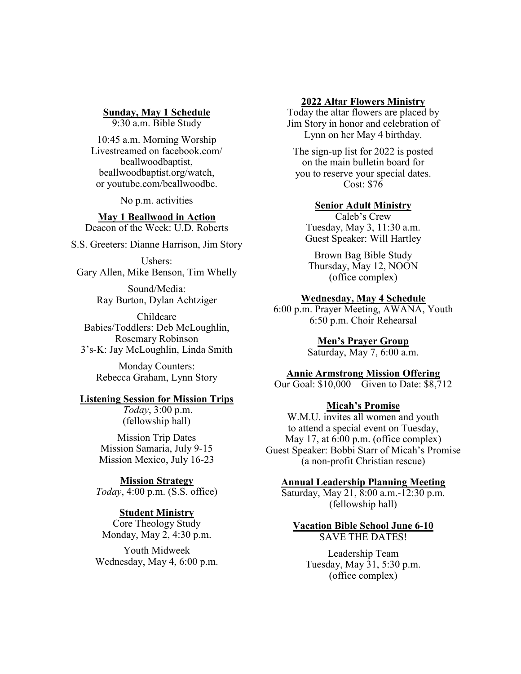**Sunday, May 1 Schedule**

9:30 a.m. Bible Study

10:45 a.m. Morning Worship Livestreamed on facebook.com/ beallwoodbaptist, beallwoodbaptist.org/watch, or youtube.com/beallwoodbc.

No p.m. activities

**May 1 Beallwood in Action** Deacon of the Week: U.D. Roberts

S.S. Greeters: Dianne Harrison, Jim Story

Ushers: Gary Allen, Mike Benson, Tim Whelly

> Sound/Media: Ray Burton, Dylan Achtziger

Childcare Babies/Toddlers: Deb McLoughlin, Rosemary Robinson 3's-K: Jay McLoughlin, Linda Smith

Monday Counters: Rebecca Graham, Lynn Story

#### **Listening Session for Mission Trips**

*Today*, 3:00 p.m. (fellowship hall)

Mission Trip Dates Mission Samaria, July 9-15 Mission Mexico, July 16-23

**Mission Strategy** *Today*, 4:00 p.m. (S.S. office)

## **Student Ministry**

Core Theology Study Monday, May 2, 4:30 p.m.

Youth Midweek Wednesday, May 4, 6:00 p.m.

#### **2022 Altar Flowers Ministry**

Today the altar flowers are placed by Jim Story in honor and celebration of Lynn on her May 4 birthday.

The sign-up list for 2022 is posted on the main bulletin board for you to reserve your special dates. Cost: \$76

#### **Senior Adult Ministry**

Caleb's Crew Tuesday, May 3, 11:30 a.m. Guest Speaker: Will Hartley

Brown Bag Bible Study Thursday, May 12, NOON (office complex)

## **Wednesday, May 4 Schedule**

6:00 p.m. Prayer Meeting, AWANA, Youth 6:50 p.m. Choir Rehearsal

## **Men's Prayer Group**

Saturday, May 7, 6:00 a.m.

#### **Annie Armstrong Mission Offering**

Our Goal: \$10,000 Given to Date: \$8,712

## **Micah's Promise**

W.M.U. invites all women and youth to attend a special event on Tuesday, May 17, at 6:00 p.m. (office complex) Guest Speaker: Bobbi Starr of Micah's Promise (a non-profit Christian rescue)

#### **Annual Leadership Planning Meeting**

Saturday, May 21, 8:00 a.m.-12:30 p.m. (fellowship hall)

#### **Vacation Bible School June 6-10** SAVE THE DATES!

Leadership Team Tuesday, May 31, 5:30 p.m. (office complex)